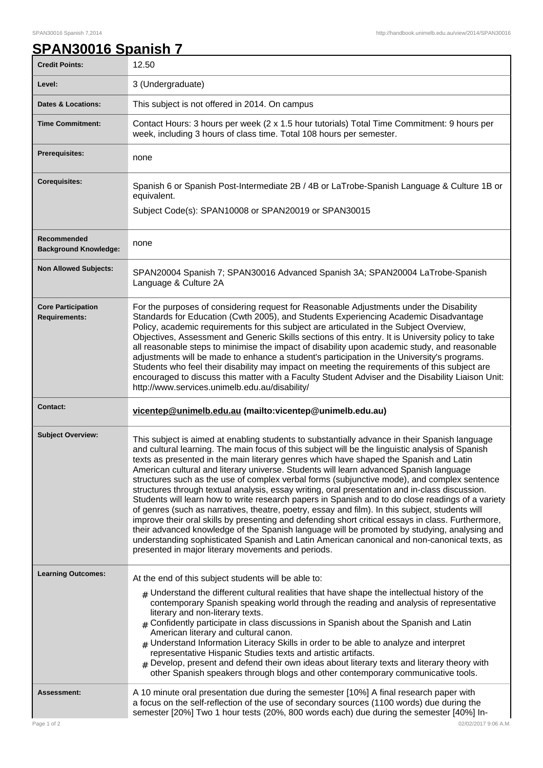## **SPAN30016 Spanish 7**

| <b>Credit Points:</b>                             | 12.50                                                                                                                                                                                                                                                                                                                                                                                                                                                                                                                                                                                                                                                                                                                                                                                                                                                                                                                                                                                                                                                                                                                                                      |
|---------------------------------------------------|------------------------------------------------------------------------------------------------------------------------------------------------------------------------------------------------------------------------------------------------------------------------------------------------------------------------------------------------------------------------------------------------------------------------------------------------------------------------------------------------------------------------------------------------------------------------------------------------------------------------------------------------------------------------------------------------------------------------------------------------------------------------------------------------------------------------------------------------------------------------------------------------------------------------------------------------------------------------------------------------------------------------------------------------------------------------------------------------------------------------------------------------------------|
| Level:                                            | 3 (Undergraduate)                                                                                                                                                                                                                                                                                                                                                                                                                                                                                                                                                                                                                                                                                                                                                                                                                                                                                                                                                                                                                                                                                                                                          |
| <b>Dates &amp; Locations:</b>                     | This subject is not offered in 2014. On campus                                                                                                                                                                                                                                                                                                                                                                                                                                                                                                                                                                                                                                                                                                                                                                                                                                                                                                                                                                                                                                                                                                             |
| <b>Time Commitment:</b>                           | Contact Hours: 3 hours per week (2 x 1.5 hour tutorials) Total Time Commitment: 9 hours per<br>week, including 3 hours of class time. Total 108 hours per semester.                                                                                                                                                                                                                                                                                                                                                                                                                                                                                                                                                                                                                                                                                                                                                                                                                                                                                                                                                                                        |
| Prerequisites:                                    | none                                                                                                                                                                                                                                                                                                                                                                                                                                                                                                                                                                                                                                                                                                                                                                                                                                                                                                                                                                                                                                                                                                                                                       |
| <b>Corequisites:</b>                              | Spanish 6 or Spanish Post-Intermediate 2B / 4B or LaTrobe-Spanish Language & Culture 1B or<br>equivalent.<br>Subject Code(s): SPAN10008 or SPAN20019 or SPAN30015                                                                                                                                                                                                                                                                                                                                                                                                                                                                                                                                                                                                                                                                                                                                                                                                                                                                                                                                                                                          |
| Recommended<br><b>Background Knowledge:</b>       | none                                                                                                                                                                                                                                                                                                                                                                                                                                                                                                                                                                                                                                                                                                                                                                                                                                                                                                                                                                                                                                                                                                                                                       |
| <b>Non Allowed Subjects:</b>                      | SPAN20004 Spanish 7; SPAN30016 Advanced Spanish 3A; SPAN20004 LaTrobe-Spanish<br>Language & Culture 2A                                                                                                                                                                                                                                                                                                                                                                                                                                                                                                                                                                                                                                                                                                                                                                                                                                                                                                                                                                                                                                                     |
| <b>Core Participation</b><br><b>Requirements:</b> | For the purposes of considering request for Reasonable Adjustments under the Disability<br>Standards for Education (Cwth 2005), and Students Experiencing Academic Disadvantage<br>Policy, academic requirements for this subject are articulated in the Subject Overview,<br>Objectives, Assessment and Generic Skills sections of this entry. It is University policy to take<br>all reasonable steps to minimise the impact of disability upon academic study, and reasonable<br>adjustments will be made to enhance a student's participation in the University's programs.<br>Students who feel their disability may impact on meeting the requirements of this subject are<br>encouraged to discuss this matter with a Faculty Student Adviser and the Disability Liaison Unit:<br>http://www.services.unimelb.edu.au/disability/                                                                                                                                                                                                                                                                                                                    |
| <b>Contact:</b>                                   | vicentep@unimelb.edu.au (mailto:vicentep@unimelb.edu.au)                                                                                                                                                                                                                                                                                                                                                                                                                                                                                                                                                                                                                                                                                                                                                                                                                                                                                                                                                                                                                                                                                                   |
| <b>Subject Overview:</b>                          | This subject is aimed at enabling students to substantially advance in their Spanish language<br>and cultural learning. The main focus of this subject will be the linguistic analysis of Spanish<br>texts as presented in the main literary genres which have shaped the Spanish and Latin<br>American cultural and literary universe. Students will learn advanced Spanish language<br>structures such as the use of complex verbal forms (subjunctive mode), and complex sentence<br>structures through textual analysis, essay writing, oral presentation and in-class discussion.<br>Students will learn how to write research papers in Spanish and to do close readings of a variety<br>of genres (such as narratives, theatre, poetry, essay and film). In this subject, students will<br>improve their oral skills by presenting and defending short critical essays in class. Furthermore,<br>their advanced knowledge of the Spanish language will be promoted by studying, analysing and<br>understanding sophisticated Spanish and Latin American canonical and non-canonical texts, as<br>presented in major literary movements and periods. |
| <b>Learning Outcomes:</b>                         | At the end of this subject students will be able to:<br>$_{\text{\#}}$ Understand the different cultural realities that have shape the intellectual history of the<br>contemporary Spanish speaking world through the reading and analysis of representative<br>literary and non-literary texts.<br>$*$ Confidently participate in class discussions in Spanish about the Spanish and Latin<br>American literary and cultural canon.<br>$#$ Understand Information Literacy Skills in order to be able to analyze and interpret<br>representative Hispanic Studies texts and artistic artifacts.<br>$_{\#}$ Develop, present and defend their own ideas about literary texts and literary theory with<br>other Spanish speakers through blogs and other contemporary communicative tools.                                                                                                                                                                                                                                                                                                                                                                  |
| <b>Assessment:</b><br>Page 1 of 2                 | A 10 minute oral presentation due during the semester [10%] A final research paper with<br>a focus on the self-reflection of the use of secondary sources (1100 words) due during the<br>semester [20%] Two 1 hour tests (20%, 800 words each) due during the semester [40%] In-<br>02/02/2017 9:06 A.M.                                                                                                                                                                                                                                                                                                                                                                                                                                                                                                                                                                                                                                                                                                                                                                                                                                                   |